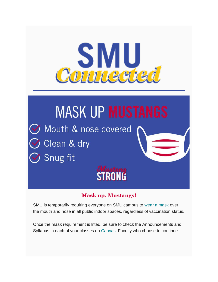

# **MASK UP MUSTANGS** S Mouth & nose covered Clean & dry Snug fit **STRONG**

### **Mask up, Mustangs!**

SMU is temporarily requiring everyone on SMU campus to [wear a mask](https://www.smu.edu/Coronavirus/Healthy-Campus) over the mouth and nose in all public indoor spaces, regardless of vaccination status.

Once the mask requirement is lifted, be sure to check the Announcements and Syllabus in each of your classes on [Canvas.](https://www.smu.edu/OIT/services/canvas) Faculty who choose to continue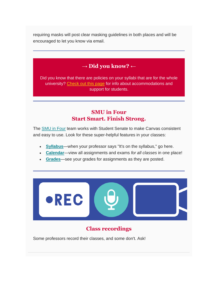requiring masks will post clear masking guidelines in both places and will be encouraged to let you know via email.

## → **Did you know?** ←

Did you know that there are policies on your syllabi that are for the whole university? [Check out this page](https://www.smu.edu/OIT/AcademicTech/Instructional-Guidelines/Syllabus/required-syllabus-statements) for info about accommodations and support for students.

### **SMU in Four Start Smart. Finish Strong.**

The [SMU in Four](https://www.smu.edu/Provost/ProvostOffice/SAES/AcademicInitiatives) team works with Student Senate to make Canvas consistent and easy to use. Look for these super-helpful features in your classes:

- **[Syllabus](https://community.canvaslms.com/t5/Student-Guide/How-do-I-use-the-Syllabus-as-a-student/ta-p/439)**—when your professor says "It's on the syllabus," go here.
- **[Calendar](https://community.canvaslms.com/t5/Student-Guide/How-do-I-use-the-Calendar-as-a-student/ta-p/534)**—view all assignments and exams *for all classes* in one place!
- **[Grades](https://community.canvaslms.com/t5/Student-Guide/How-do-I-view-my-grades-in-a-current-course/ta-p/493)**—see your grades for assignments as they are posted.



## **Class recordings**

Some professors record their classes, and some don't. Ask!